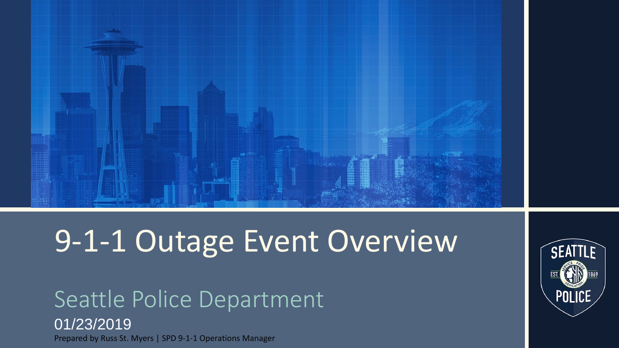

# 9-1-1 Outage Event Overview

### Seattle Police Department 01/23/2019 Prepared by Russ St. Myers | SPD 9-1-1 Operations Manager

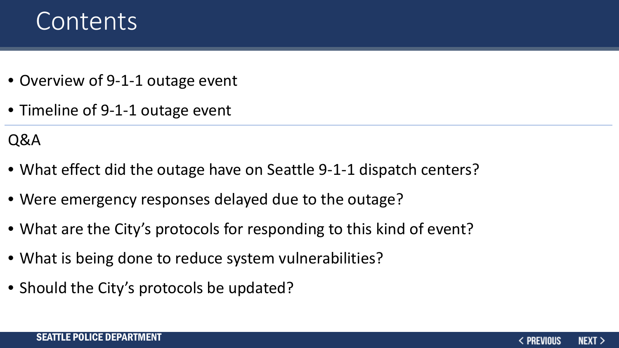### Contents

- Overview of 9-1-1 outage event
- Timeline of 9-1-1 outage event

### Q&A

- What effect did the outage have on Seattle 9-1-1 dispatch centers?
- Were emergency responses delayed due to the outage?
- What are the City's protocols for responding to this kind of event?
- What is being done to reduce system vulnerabilities?
- Should the City's protocols be updated?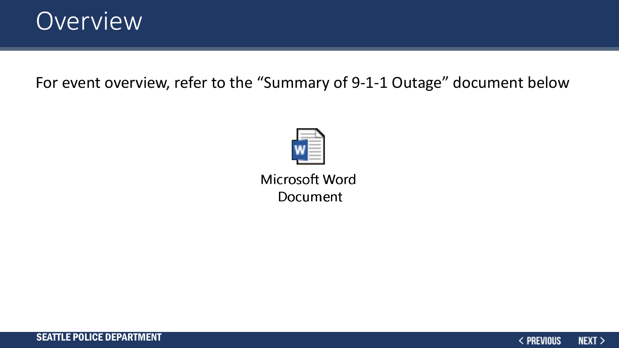

For event overview, refer to the "Summary of 9-1-1 Outage" document below



Microsoft Word Document

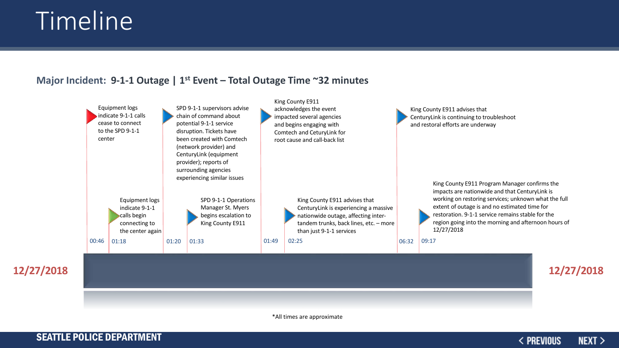## Timeline

#### **Major Incident: 9-1-1 Outage | 1st Event – Total Outage Time ~32 minutes**



\*All times are approximate

#### SEATTLE POLICE DEPARTMENT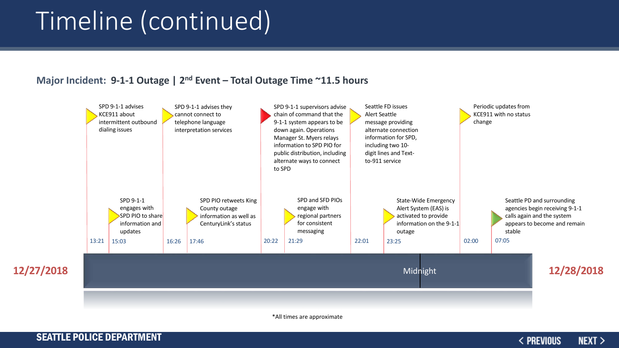## Timeline (continued)

#### **Major Incident: 9-1-1 Outage | 2nd Event – Total Outage Time ~11.5 hours**



\*All times are approximate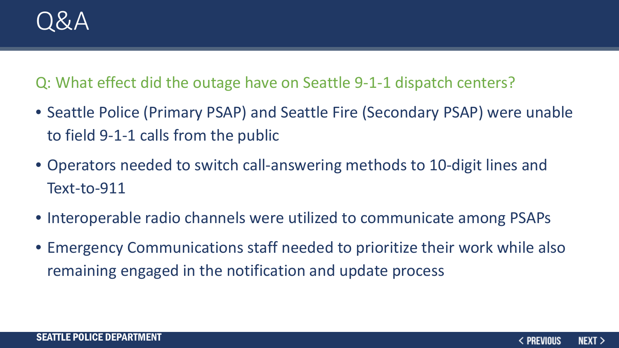

Q: What effect did the outage have on Seattle 9-1-1 dispatch centers?

- Seattle Police (Primary PSAP) and Seattle Fire (Secondary PSAP) were unable to field 9-1-1 calls from the public
- Operators needed to switch call-answering methods to 10-digit lines and Text-to-911
- Interoperable radio channels were utilized to communicate among PSAPs
- Emergency Communications staff needed to prioritize their work while also remaining engaged in the notification and update process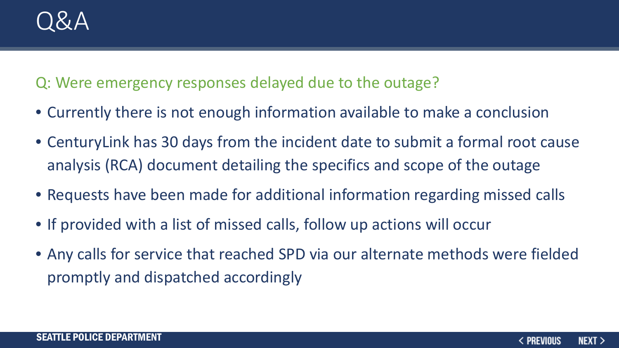Q: Were emergency responses delayed due to the outage?

- Currently there is not enough information available to make a conclusion
- CenturyLink has 30 days from the incident date to submit a formal root cause analysis (RCA) document detailing the specifics and scope of the outage
- Requests have been made for additional information regarding missed calls
- If provided with a list of missed calls, follow up actions will occur
- Any calls for service that reached SPD via our alternate methods were fielded promptly and dispatched accordingly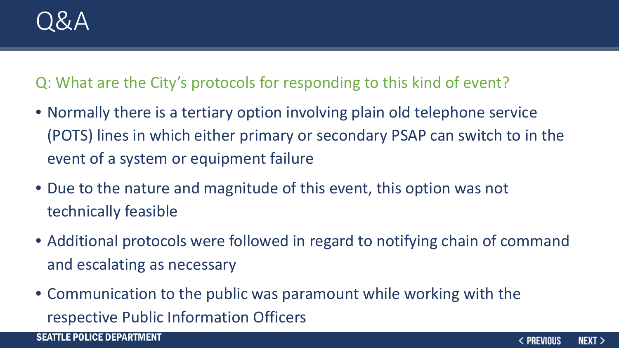Q: What are the City's protocols for responding to this kind of event?

- Normally there is a tertiary option involving plain old telephone service (POTS) lines in which either primary or secondary PSAP can switch to in the event of a system or equipment failure
- Due to the nature and magnitude of this event, this option was not technically feasible
- Additional protocols were followed in regard to notifying chain of command and escalating as necessary
- Communication to the public was paramount while working with the respective Public Information Officers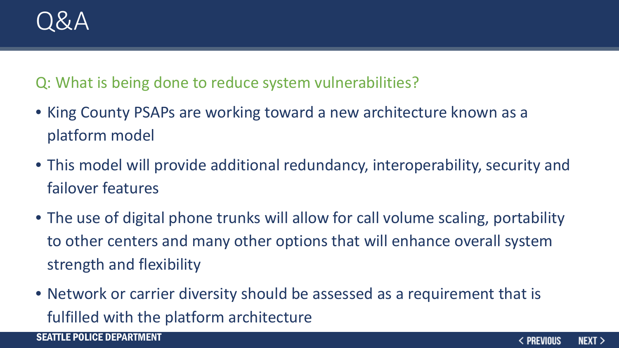

Q: What is being done to reduce system vulnerabilities?

- King County PSAPs are working toward a new architecture known as a platform model
- This model will provide additional redundancy, interoperability, security and failover features
- The use of digital phone trunks will allow for call volume scaling, portability to other centers and many other options that will enhance overall system strength and flexibility
- Network or carrier diversity should be assessed as a requirement that is fulfilled with the platform architecture